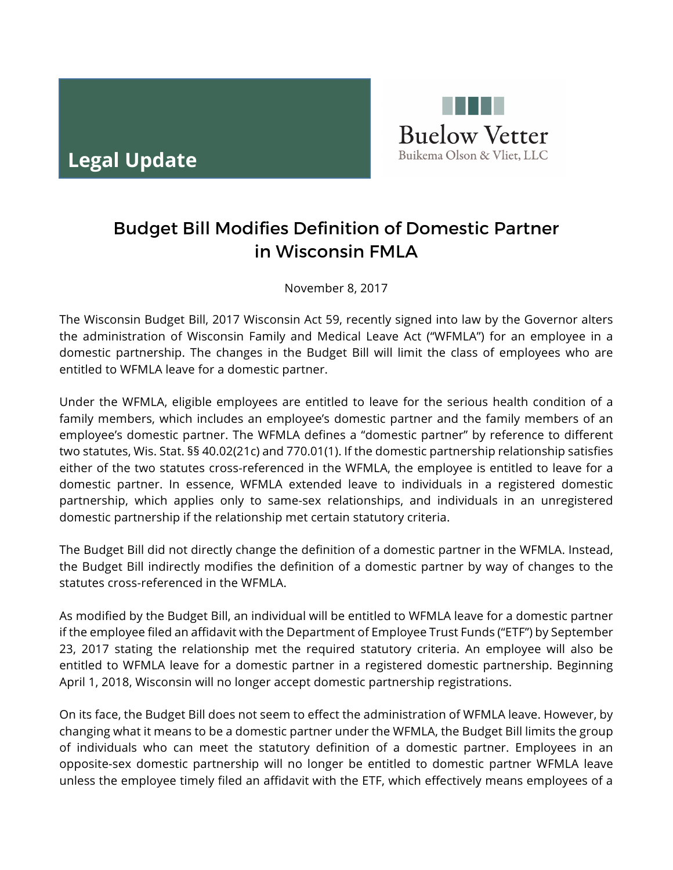

## Budget Bill Modifies Definition of Domestic Partner in Wisconsin FMLA

November 8, 2017

The Wisconsin Budget Bill, 2017 Wisconsin Act 59, recently signed into law by the Governor alters the administration of Wisconsin Family and Medical Leave Act ("WFMLA") for an employee in a domestic partnership. The changes in the Budget Bill will limit the class of employees who are entitled to WFMLA leave for a domestic partner.

Under the WFMLA, eligible employees are entitled to leave for the serious health condition of a family members, which includes an employee's domestic partner and the family members of an employee's domestic partner. The WFMLA defines a "domestic partner" by reference to different two statutes, Wis. Stat. §§ 40.02(21c) and 770.01(1). If the domestic partnership relationship satisfies either of the two statutes cross-referenced in the WFMLA, the employee is entitled to leave for a domestic partner. In essence, WFMLA extended leave to individuals in a registered domestic partnership, which applies only to same-sex relationships, and individuals in an unregistered domestic partnership if the relationship met certain statutory criteria.

The Budget Bill did not directly change the definition of a domestic partner in the WFMLA. Instead, the Budget Bill indirectly modifies the definition of a domestic partner by way of changes to the statutes cross-referenced in the WFMLA.

As modified by the Budget Bill, an individual will be entitled to WFMLA leave for a domestic partner if the employee filed an affidavit with the Department of Employee Trust Funds ("ETF") by September 23, 2017 stating the relationship met the required statutory criteria. An employee will also be entitled to WFMLA leave for a domestic partner in a registered domestic partnership. Beginning April 1, 2018, Wisconsin will no longer accept domestic partnership registrations.

On its face, the Budget Bill does not seem to effect the administration of WFMLA leave. However, by changing what it means to be a domestic partner under the WFMLA, the Budget Bill limits the group of individuals who can meet the statutory definition of a domestic partner. Employees in an opposite-sex domestic partnership will no longer be entitled to domestic partner WFMLA leave unless the employee timely filed an affidavit with the ETF, which effectively means employees of a